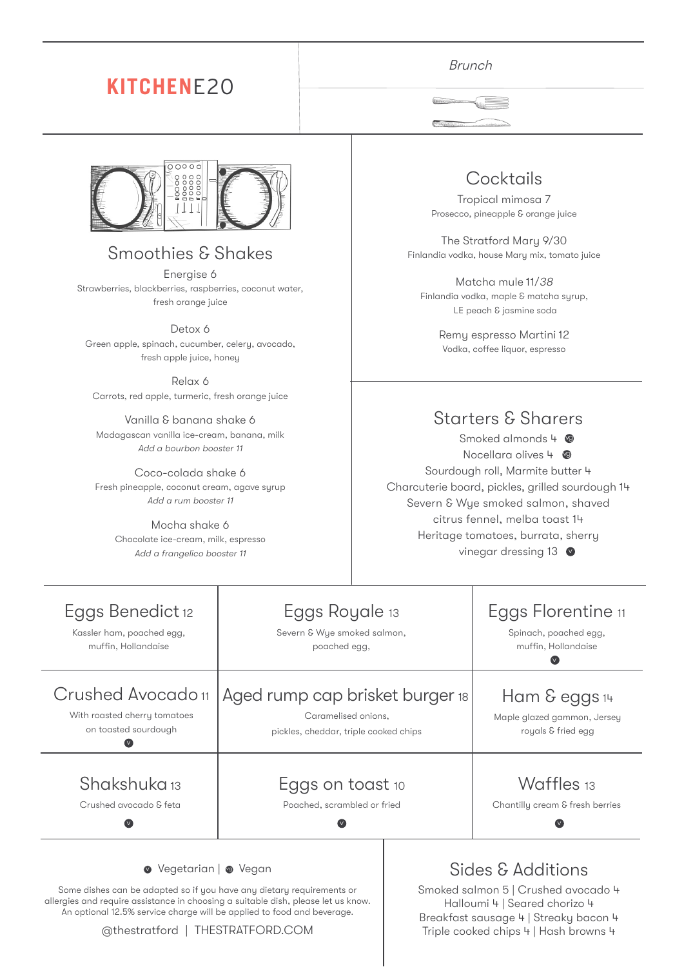# **KITCHEN**E20



### Smoothies & Shakes

Energise 6 Strawberries, blackberries, raspberries, coconut water, fresh orange juice

Detox 6 Green apple, spinach, cucumber, celery, avocado, fresh apple juice, honey

Relax 6 Carrots, red apple, turmeric, fresh orange juice

Vanilla & banana shake 6 Madagascan vanilla ice-cream, banana, milk Add a bourbon booster 11

Coco-colada shake 6 Fresh pineapple, coconut cream, agave syrup Add a rum booster 11

Mocha shake 6 Chocolate ice-cream, milk, espresso Add a frangelico booster 11

#### Brunch



### **Cocktails**

Tropical mimosa 7 Prosecco, pineapple & orange juice

The Stratford Mary 9/30 Finlandia vodka, house Mary mix, tomato juice

Matcha mule 11/<sup>38</sup> Finlandia vodka, maple & matcha syrup, LE peach & jasmine soda

> Remy espresso Martini 12 Vodka, coffee liquor, espresso

#### Starters & Sharers

Smoked almonds 4 Nocellara olives 4 **@** Sourdough roll, Marmite butter 4 Charcuterie board, pickles, grilled sourdough 14 Severn & Wye smoked salmon, shaved citrus fennel, melba toast 14 Heritage tomatoes, burrata, sherry vinegar dressing 13 v

| Eggs Benedict 12             | Eggs Royale 13                        | Eggs Florentine 11              |
|------------------------------|---------------------------------------|---------------------------------|
| Kassler ham, poached egg,    | Severn & Wye smoked salmon,           | Spinach, poached egg,           |
| muffin, Hollandaise          | poached egg,                          | muffin, Hollandaise             |
| Crushed Avocado 11           | Aged rump cap brisket burger 18       | Ham & eggs 14                   |
| With roasted cherry tomatoes | Caramelised onions,                   | Maple glazed gammon, Jersey     |
| on toasted sourdough         | pickles, cheddar, triple cooked chips | royals & fried egg              |
| Shakshuka 13                 | Eggs on toast 10                      | Waffles 13                      |
| Crushed avocado & feta       | Poached, scrambled or fried           | Chantilly cream & fresh berries |
| ● Vegetarian   ● Vegan       |                                       | Sides & Additions               |

Some dishes can be adapted so if you have any dietary requirements or allergies and require assistance in choosing a suitable dish, please let us know. An optional 12.5% service charge will be applied to food and beverage.

#### @thestratford | THESTRATFORD.COM

## Sides & Additions

Smoked salmon 5 | Crushed avocado 4 Halloumi 4 | Seared chorizo 4 Breakfast sausage 4 | Streaky bacon 4 Triple cooked chips 4 | Hash browns 4